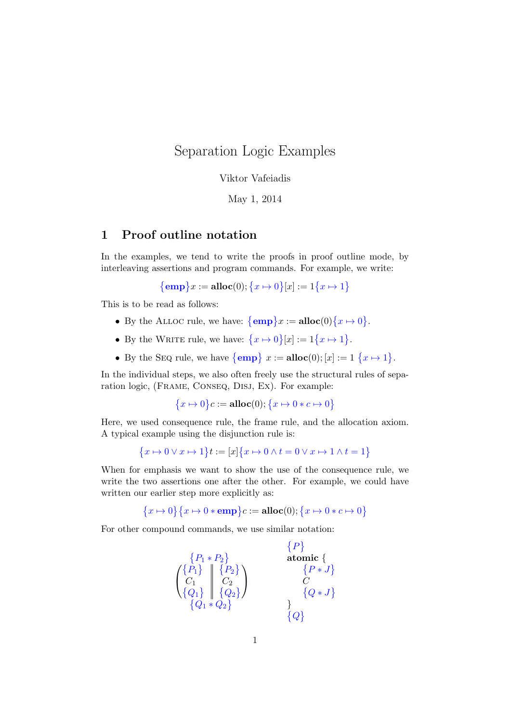## Separation Logic Examples

Viktor Vafeiadis

May 1, 2014

## 1 Proof outline notation

In the examples, we tend to write the proofs in proof outline mode, by interleaving assertions and program commands. For example, we write:

$$
{\bf \{emp\}}x := \textbf{alloc}(0); \{x \mapsto 0\}[x] := 1\{x \mapsto 1\}
$$

This is to be read as follows:

- By the ALLOC rule, we have:  $\{\mathbf{emp}\}\mathbf{x} := \mathbf{alloc}(0) \{\mathbf{x} \mapsto 0\}.$
- By the WRITE rule, we have:  $\{x \mapsto 0\} [x] := 1\{x \mapsto 1\}.$
- By the SEQ rule, we have  $\{\mathbf{emp} \} x := \mathbf{alloc}(0); [x] := 1 \{x \mapsto 1\}.$

In the individual steps, we also often freely use the structural rules of separation logic, (Frame, Conseq, Disj, Ex). For example:

 $\{x \mapsto 0\}c := \textbf{alloc}(0); \{x \mapsto 0 * c \mapsto 0\}$ 

Here, we used consequence rule, the frame rule, and the allocation axiom. A typical example using the disjunction rule is:

$$
\{x \mapsto 0 \lor x \mapsto 1\}t := [x]\{x \mapsto 0 \land t = 0 \lor x \mapsto 1 \land t = 1\}
$$

When for emphasis we want to show the use of the consequence rule, we write the two assertions one after the other. For example, we could have written our earlier step more explicitly as:

$$
{x \mapsto 0} {x \mapsto 0 * emp}c := \textbf{alloc}(0); {x \mapsto 0 * c \mapsto 0}
$$

For other compound commands, we use similar notation:

$$
\begin{array}{c}\n\{P_1 \ast P_2\} & \text{atomic } \{\{P_1\} \text{ atomic } \{\{P_1\} \mid \{P_2\} \}\n\{C_1 \mid C_2 \text{ $\{Q_2\}$} \} & \{P \ast J \}\n\{Q_1 \ast Q_2\} & \{Q \} & \{Q \} & \{Q \}\n\end{array}
$$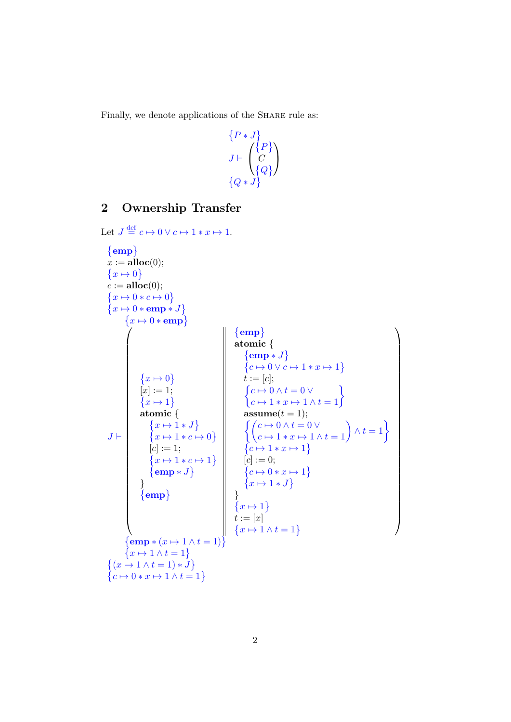Finally, we denote applications of the SHARE rule as:

$$
\{P * J\}
$$
  

$$
J \vdash \begin{pmatrix} \{P\} \\ C \\ \{Q\} \end{pmatrix}
$$
  

$$
\{Q * J\}
$$

## 2 Ownership Transfer

```
Let J \stackrel{\text{def}}{=} c \mapsto 0 \vee c \mapsto 1 * x \mapsto 1.
```

| $\{emp\}$<br>$x := \textbf{alloc}(0);$<br>$\{x \mapsto 0\}$<br>$c := \textbf{alloc}(0);$<br>$\{x \mapsto 0 * c \mapsto 0\}$<br>$\{x \mapsto 0 * \textbf{emp} * J\}$<br>$\{x \mapsto 0 * \textbf{emp}\}\$ |                                 |                                                                                                                                          |
|----------------------------------------------------------------------------------------------------------------------------------------------------------------------------------------------------------|---------------------------------|------------------------------------------------------------------------------------------------------------------------------------------|
|                                                                                                                                                                                                          |                                 | $\{ {\bf emp} \}$                                                                                                                        |
|                                                                                                                                                                                                          |                                 | atomic $\{$                                                                                                                              |
|                                                                                                                                                                                                          |                                 | $\{e m p * J\}$                                                                                                                          |
|                                                                                                                                                                                                          |                                 | $\{c \mapsto 0 \vee c \mapsto 1*x \mapsto 1\}$                                                                                           |
|                                                                                                                                                                                                          | $\{x \mapsto 0\}$               | $t := [c];$                                                                                                                              |
|                                                                                                                                                                                                          | $[x] := 1;$                     |                                                                                                                                          |
|                                                                                                                                                                                                          | $\{x \mapsto 1\}$               | $\begin{cases} c \mapsto 0 \wedge t = 0 \vee \\ c \mapsto 1 * x \mapsto 1 \wedge t = 1 \end{cases}$                                      |
|                                                                                                                                                                                                          | atomic $\{$                     | $\text{assume}(t=1);$                                                                                                                    |
|                                                                                                                                                                                                          | $\{x \mapsto 1 * J\}$           | $\left\{ \begin{pmatrix} c \mapsto 0 \wedge t = 0 \vee \\ c \mapsto 1 \ast x \mapsto 1 \wedge t = 1 \end{pmatrix} \wedge t = 1 \right\}$ |
| $J \vdash$                                                                                                                                                                                               | $\{x \mapsto 1 * c \mapsto 0\}$ |                                                                                                                                          |
|                                                                                                                                                                                                          | $[c] := 1;$                     | $\{c \mapsto 1*x \mapsto 1\}$                                                                                                            |
|                                                                                                                                                                                                          | $\{x \mapsto 1 * c \mapsto 1\}$ | $[c] := 0;$                                                                                                                              |
|                                                                                                                                                                                                          | $\{\mathbf{emp} * J\}$          | $\{c \mapsto 0 \times x \mapsto 1\}$                                                                                                     |
|                                                                                                                                                                                                          |                                 | $\{x \mapsto 1 * J\}$                                                                                                                    |
|                                                                                                                                                                                                          | $\{emp\}$                       |                                                                                                                                          |
|                                                                                                                                                                                                          |                                 | $\{x \mapsto 1\}$                                                                                                                        |
|                                                                                                                                                                                                          |                                 | $t:=\left[x\right]$                                                                                                                      |
|                                                                                                                                                                                                          |                                 | $\{x \mapsto 1 \wedge t = 1\}$                                                                                                           |
| $\{\mathbf{emp}*(x \mapsto 1 \wedge t = 1)\}$                                                                                                                                                            |                                 |                                                                                                                                          |
| $\{x \mapsto 1 \wedge t = 1\}$                                                                                                                                                                           |                                 |                                                                                                                                          |
| $\{(x \mapsto 1 \wedge t = 1) * J\}$                                                                                                                                                                     |                                 |                                                                                                                                          |
| $\{c \mapsto 0 \times x \mapsto 1 \wedge t = 1\}$                                                                                                                                                        |                                 |                                                                                                                                          |

 $\setminus$